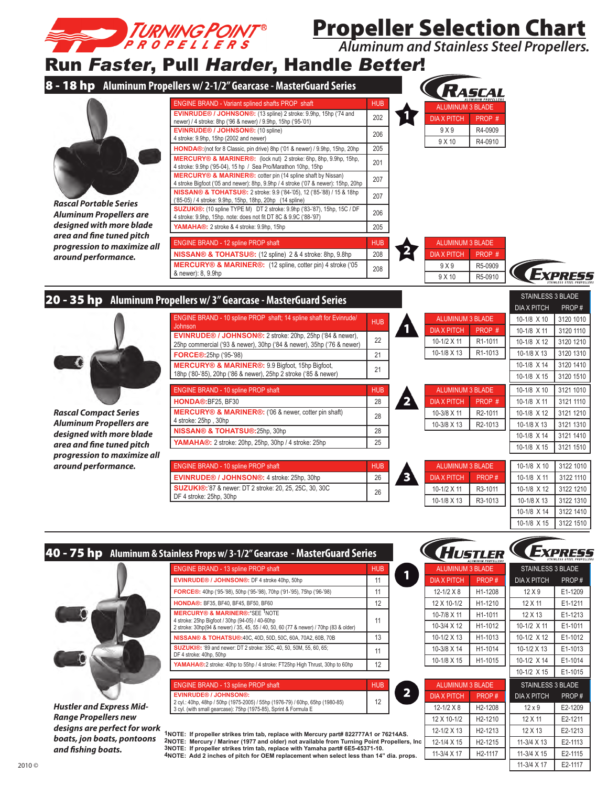# **Propeller Selection Chart**

*Aluminum and Stainless Steel Propellers.*

#### TURNING POINT® Run *Faster*, Pull *Harder*, Handle *Better*! 8 - 18 hp **Aluminum Propellers w/ 2-1/2" Gearcase - MasterGuard Series** RASCAL ENGINE BRAND - Variant splined shafts PROP shaft ALUMINUM 3 BLADE **EVINRUDE® / JOHNSON®:** (13 spline) 2 stroke: 9.9hp, 15hp ('74 and **EVINRUDE® / JOHNSON®:** (13 spline) 2 stroke: 9.9np, 15hp ('74 and newer) / 4 stroke: 8hp ('96 & newer) / 9.9hp, 15hp ('95-'01) 202 DIA X PITCH PROP # **EVINRUDE® / JOHNSON®:** (10 spline)  $9 \times 9$  P<sub>4-0909</sub> EVINKUDE® 7 JOHNSON®: (10 spine)<br>4 stroke: 9.9hp, 15hp (2002 and newer) 206 9 X 10 R4-0910 **HONDA®:**(not for 8 Classic, pin drive) 8hp ('01 & newer) / 9.9hp, 15hp, 20hp 205 **MERCURY® & MARINER®:** (lock nut) 2 stroke: 6hp, 8hp, 9.9hp, 15hp, MERCURT® & MARINER®: (lock nut) 2 stroke: onp, onp, 9.9np, 15np, 2014<br>4 stroke: 9.9hp ('95-04), 15 hp / Sea Pro/Marathon 10hp, 15hp **MERCURY® & MARINER®:** cotter pin (14 spline shaft by Nissan) 4 stroke Bigfoot ('05 and newer): 8hp, 9.9hp / 4 stroke ('07 & newer): 15hp, 20hp <sup>207</sup> **NISSAN® & TOHATSU®:** 2 stroke: 9.9 ('84-'05), 12 ('85-'88) / 15 & 18hp **NISSAN® & TOHATSU®:** 2 stroke: 9.9 ('84- 05), 12 ('85- 88) / 15 & 18hp 207<br>('85-05) / 4 stroke: 9.9hp, 15hp, 18hp, 20hp (14 spline) *Rascal Portable Series*  **SUZUKI®:** (10 spline TYPE M) DT 2 stroke: 9.9hp ('83-'87), 15hp, 15C / DF SUZURING: (10 spline TYPE M) DT Z stroke: 9.9hp (63-67), 15hp, 15C / DF 4 stroke: 9.9hp, 15hp. note: does not fit DT 8C & 9.9C ('88-'97) *Aluminum Propellers are designed with more blade*  **YAMAHA®:** 2 stroke & 4 stroke: 9.9hp, 15hp 205 *area and fine tuned pitch*  ENGINE BRAND - 12 spline PROP shaft HUB ALUMINUM 3 BLADE *progression to maximize all*   $\mathbf{2}$ **NISSAN® & TOHATSU®:** (12 spline) 2 & 4 stroke: 8hp, 9.8hp | 208 DIA X PITCH PROP # *around performance.* **MERCURY® & MARINER®:** (12 spline, cotter pin) 4 stroke ('05 9 X 9 R5-0909 MERCURT® & MARINER®: (12 spille, cotter pill) 4 stroke (05 $\left[208\right]$ 9 X 10 R5-0910 STAINLESS 3 BLADE 20 - 35 hp **Aluminum Propellers w/ 3" Gearcase - MasterGuard Series** DIA X PITCH PROP # ALUMINUM 3 BLADE 10-1/8 X 10 3120 1010 ENGINE BRAND - 10 spline PROP shaft; 14 spline shaft for Evinrude/ Johnson HUB DIA X PITCH PROP # 10-1/8 X 11 3120 1110 **EVINRUDE® / JOHNSON®:** 2 stroke: 20hp, 25hp ('84 & newer), 25hp commercial ('93 & newer), 30hp ('84 & newer), 35hp ('76 & newer) <sup>22</sup> 10-1/2 X 11 R1-1011 10-1/8 X 12 3120 1210 **FORCE®:**25hp ('95-'98) 21 10-1/8 X 13 | R1-1013 10-1/8 X 13 3120 1310 Ke **MERCURY® & MARINER®:** 9.9 Bigfoot, 15hp Bigfoot, 10-1/8 X 14 3120 1410 **MERCURT® & MARINER®:** 9.9 Bigroot, Tonp Bigroot,<br>18hp ('80-'85), 20hp ('86 & newer), 25hp 2 stroke ('85 & newer) 21 10-1/8 X 15 3120 1510 ENGINE BRAND - 10 spline PROP shaft HUB ALUMINUM 3 BLADE 10-1/8 X 10 3121 1010 **HONDA®:**BF25, BF30 28 DIA X PITCH PROP # 10-1/8 X 11 3121 1110 **MERCURY® & MARINER®:** ('06 & newer, cotter pin shaft) *Rascal Compact Series*  10-3/8 X 11 R2-1011 10-1/8 X 12 3121 1210 A stroke: 25hp, 30hp 28 *Aluminum Propellers are*  10-3/8 X 13 R2-1013 10-1/8 X 13 3121 1310 **NISSAN® & TOHATSU®:**25hp, 30hp 28 *designed with more blade*  10-1/8 X 14 3121 1410 **YAMAHA®:** 2 stroke: 20hp, 25hp, 30hp / 4 stroke: 25hp 25 *area and fine tuned pitch*  10-1/8 X 15 3121 1510 *progression to maximize all around performance.* ALUMINUM 3 BLADE 10-1/8 X 10 3122 1010 ENGINE BRAND - 10 spline PROP shaft HUB **EVINRUDE® / JOHNSON®:** 4 stroke: 25hp, 30hp 26 DIA X PITCH PROP # 10-1/8 X 11 3122 1110 **SUZUKI®:**'87 & newer: DT 2 stroke: 20, 25, 25C, 30, 30C  $10-1/2 \times 11$  R3-1011 10-1/8 X 12 3122 1210 **SUZURIS:**  $\sigma r$  & newer. DT 2 stroke: 20, 25, 250, 30, 300<br>DF 4 stroke: 25hp, 30hp 10-1/8 X 13 R3-1013 10-1/8 X 13 3122 1310 10-1/8 X 14 3122 1410 10-1/8 X 15 3122 1510 HUSTLER<sup>(</sup> **EXPRESS** 40 - 75 hp **Aluminum & Stainless Props w/ 3-1/2" Gearcase - MasterGuard Series** STAINLESS 3 BLADE **ENGINE BRAND - 13 spline PROP shaft HUBB** HUBB HUBB HUBB ALUMINUM 3 BLADE 1 **EVINRUDE® / JOHNSON®:** DF 4 stroke 40hp, 50hp 11 DIA X PITCH PROP # DIA X PITCH PROP # **FORCE®:** 40hp ('95-'98), 50hp ('95-'98), 70hp ('91-'95), 75hp ('96-'98) 11 12-1/2 X 8 H1-1208 **HONDA®:** BF35, BF40, BF45, BF50, BF60 12 12 X 10-1/2 H1-1210 12 X 11 E1-1211 **MERCURY® & MARINER®:**\*SEE 1NOTE 10-7/8 X 11 H1-1011 12 X 13 E1-1213 11 4 stroke: 25hp Bigfoot / 30hp (94-05) / 40-60hp 2 stroke: 30hp(94 & newer) / 35, 45, 55 / 40, 50, 60 (77 & newer) / 70hp (83 & older)



*Hustler and Express Mid-Range Propellers new designs are perfect for work boats, jon boats, pontoons and fishing boats.*

| 1NOTE: If propeller strikes trim tab, replace with Mercury part# 822777A1 or 76214AS.      |
|--------------------------------------------------------------------------------------------|
| 2NOTE: Mercury / Mariner (1977 and older) not available from Turning Point Propellers, Inc |
| $3$ NOTE: If propeller strikes trim tab, replace with Yamaha part# 6E5-45371-10.           |
| 4NOTE: Add 2 inches of pitch for OEM replacement when select less than 14" dia. props.     |

**NISSAN® & TOHATSU®:**40C, 40D, 50D, 50C, 60A, 70A2, 60B, 70B 13

**SUZUKI** (89 and newer: DT 2 stroke: 35C, 40, 50, 50M, 55, 60, 65;<br>DF 4 stroke: 40hp, 50hp YAMAHA®:2 stroke: 40hp to 55hp / 4 stroke: FT25hp High Thrust, 30hp to 60hp 12

ENGINE BRAND - 13 spline PROP shaft HUB

**SUZUKI®:** '89 and newer: DT 2 stroke: 35C, 40, 50, 50M, 55, 60, 65;

2 cyl.: 40hp, 48hp / 50hp (1975-2005) / 55hp (1976-79) / 60hp, 65hp (1980-85) 3 cyl. (with small gearcase): 75hp (1975-85), Sprint & Formula E

**EVINRUDE® / JOHNSON®:**

| 10-1/2 X 13             | H1-1013              | 10-1/2 X 12              | E1-1012 |
|-------------------------|----------------------|--------------------------|---------|
| 10-3/8 X 14             | H1-1014              | 10-1/2 X 13              | E1-1013 |
| 10-1/8 X 15             | H1-1015              | 10-1/2 X 14              | E1-1014 |
|                         |                      | 10-1/2 X 15              | E1-1015 |
| <b>ALUMINUM 3 BLADE</b> |                      | <b>STAINLESS 3 BLADE</b> |         |
| DIA X PITCH             | PROP#                | <b>DIA X PITCH</b>       | PROP#   |
| $12 - 1/2 \times 8$     | H2-1208              | $12 \times 9$            | E2-1209 |
| 12 X 10-1/2             | H <sub>2</sub> -1210 | 12 X 11                  | E2-1211 |
| 12-1/2 X 13             | H2-1213              | 12 X 13                  | E2-1213 |

12 X 9 E1-1209

Express

10-1/2 X 11 E1-1011

11-3/4 X 13 E2-1113 11-3/4 X 15 E2-1115 11-3/4 X 17 E2-1117

10-3/4 X 12 H1-1012

12-1/4 X 15 H2-1215 11-3/4 X 17 | H2-1117

 $10 - 1/2$  $10 - 3/8$  $10 - 1/8$ 

 $DIAX$  $12 - 1$  $12 \text{ X}$ 

2

12